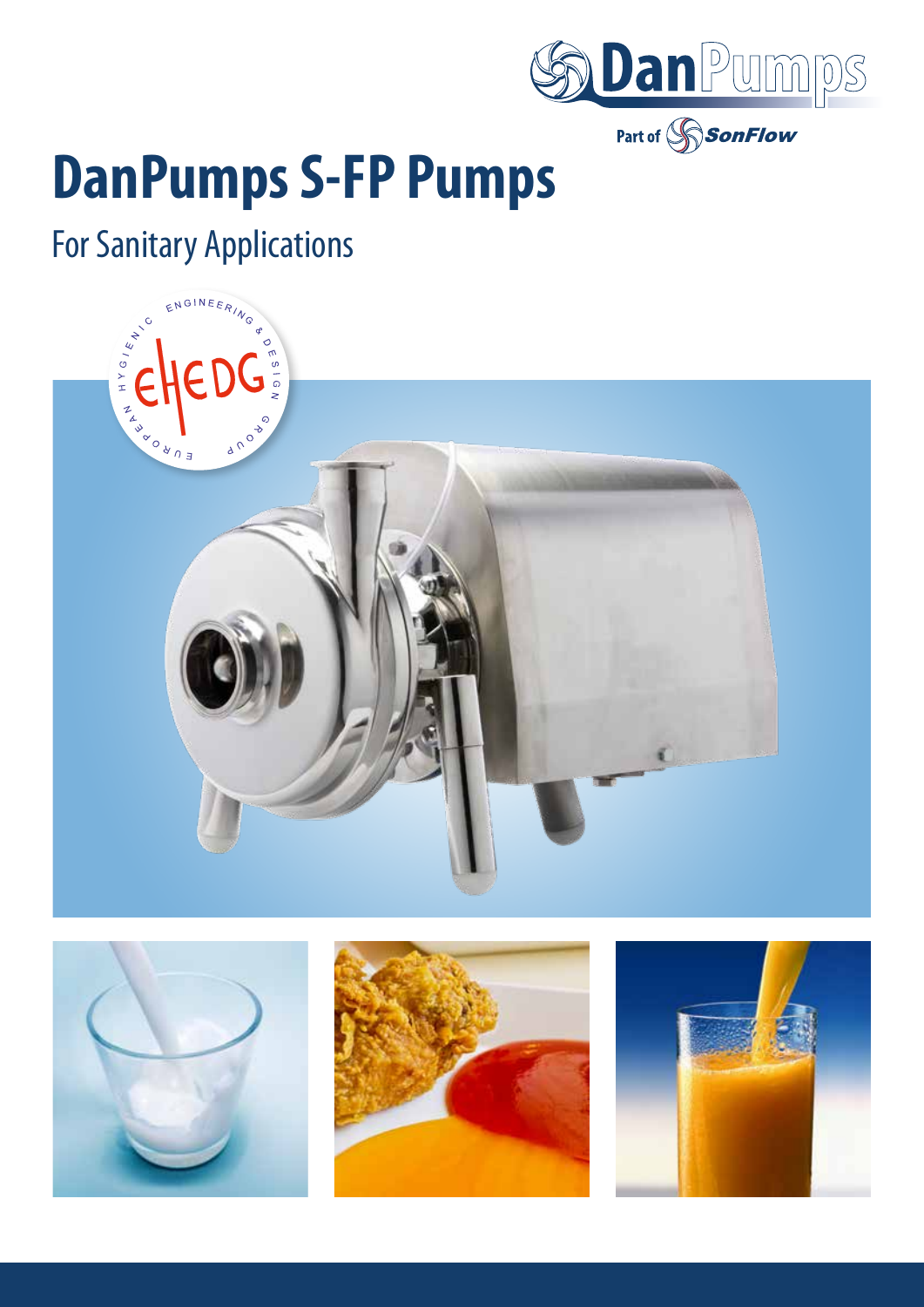

# **DanPumps S-FP Pumps**

## For Sanitary Applications







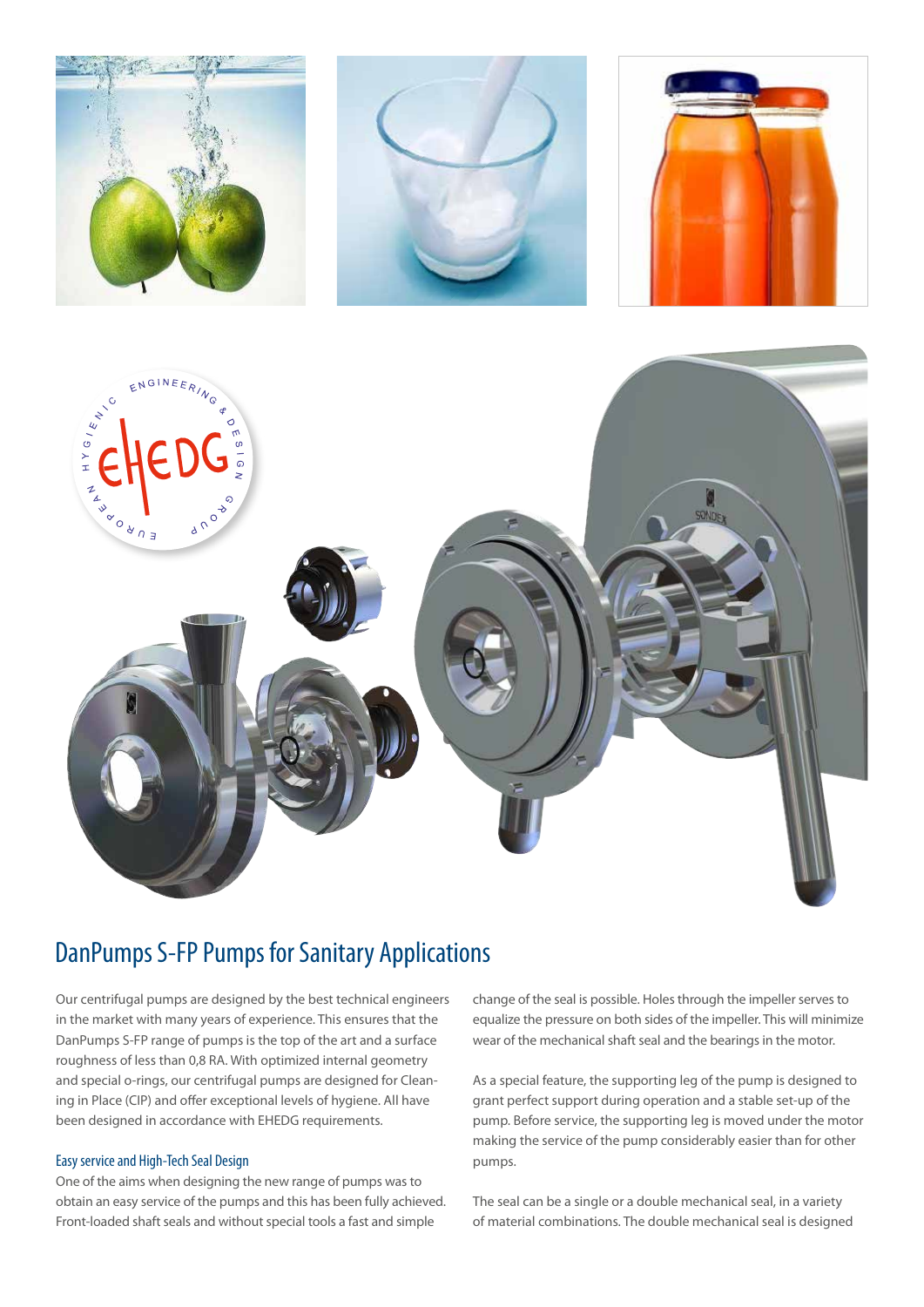

### DanPumps S-FP Pumps for Sanitary Applications

Our centrifugal pumps are designed by the best technical engineers in the market with many years of experience. This ensures that the DanPumps S-FP range of pumps is the top of the art and a surface roughness of less than 0,8 RA. With optimized internal geometry and special o-rings, our centrifugal pumps are designed for Cleaning in Place (CIP) and offer exceptional levels of hygiene. All have been designed in accordance with EHEDG requirements.

#### Easy service and High-Tech Seal Design

One of the aims when designing the new range of pumps was to obtain an easy service of the pumps and this has been fully achieved. Front-loaded shaft seals and without special tools a fast and simple

change of the seal is possible. Holes through the impeller serves to equalize the pressure on both sides of the impeller. This will minimize wear of the mechanical shaft seal and the bearings in the motor.

As a special feature, the supporting leg of the pump is designed to grant perfect support during operation and a stable set-up of the pump. Before service, the supporting leg is moved under the motor making the service of the pump considerably easier than for other pumps.

The seal can be a single or a double mechanical seal, in a variety of material combinations. The double mechanical seal is designed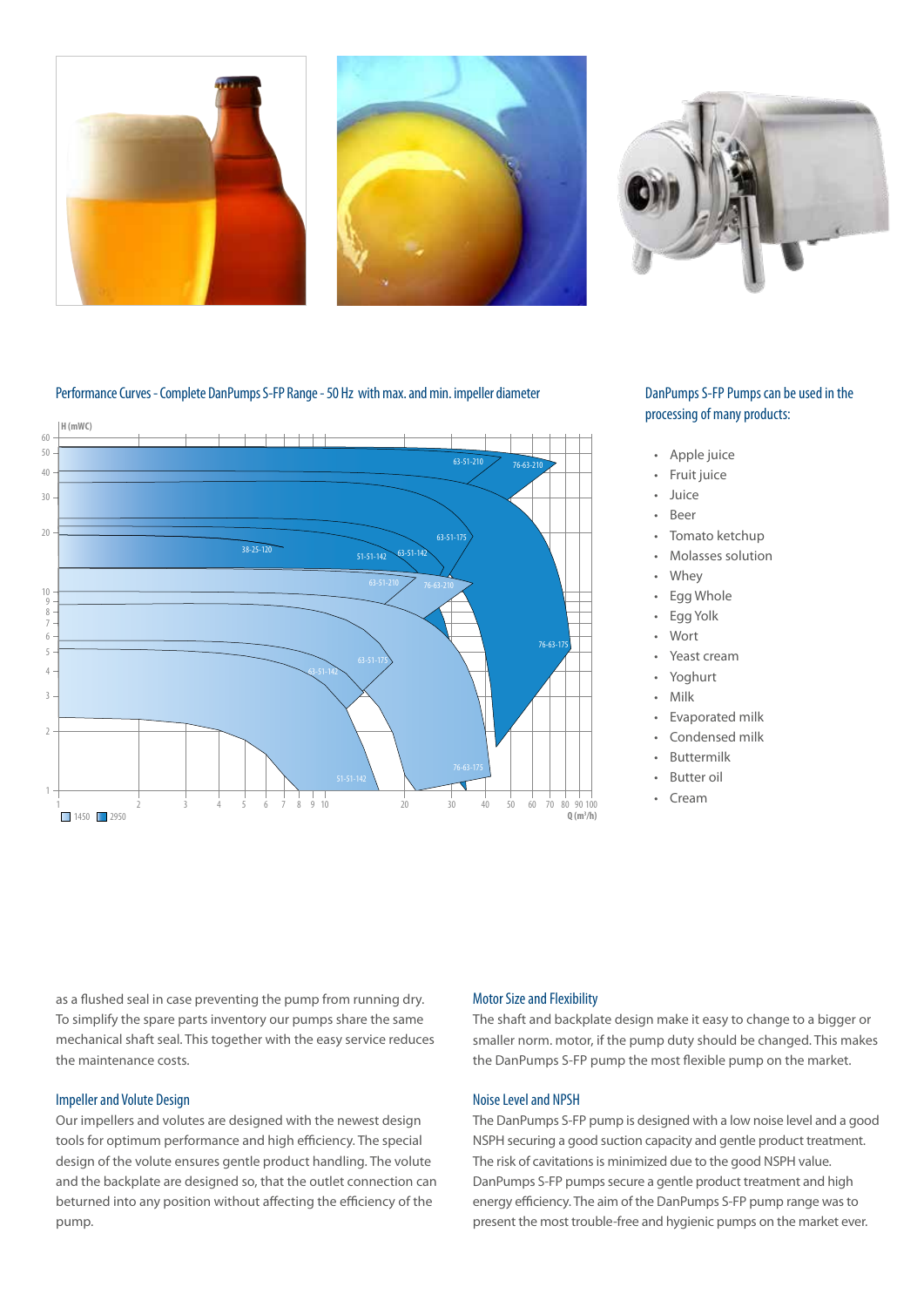



#### Performance Curves - Complete DanPumps S-FP Range - 50 Hz with max. and min. impeller diameter



#### DanPumps S-FP Pumps can be used in the processing of many products:

- Apple juice
- Fruit juice
- Juice
- Beer
	- Tomato ketchup
- Molasses solution
- **Whey**
- **Egg Whole**
- Egg Yolk
- Wort
- Yeast cream
- Yoghurt
- Milk
- Evaporated milk
- Condensed milk
- **Buttermilk**
- Butter oil
- Cream

as a flushed seal in case preventing the pump from running dry. To simplify the spare parts inventory our pumps share the same mechanical shaft seal. This together with the easy service reduces the maintenance costs.

#### Impeller and Volute Design

Our impellers and volutes are designed with the newest design tools for optimum performance and high efficiency. The special design of the volute ensures gentle product handling. The volute and the backplate are designed so, that the outlet connection can beturned into any position without affecting the efficiency of the pump.

#### Motor Size and Flexibility

The shaft and backplate design make it easy to change to a bigger or smaller norm. motor, if the pump duty should be changed. This makes the DanPumps S-FP pump the most flexible pump on the market.

#### Noise Level and NPSH

The DanPumps S-FP pump is designed with a low noise level and a good NSPH securing a good suction capacity and gentle product treatment. The risk of cavitations is minimized due to the good NSPH value. DanPumps S-FP pumps secure a gentle product treatment and high energy efficiency. The aim of the DanPumps S-FP pump range was to present the most trouble-free and hygienic pumps on the market ever.